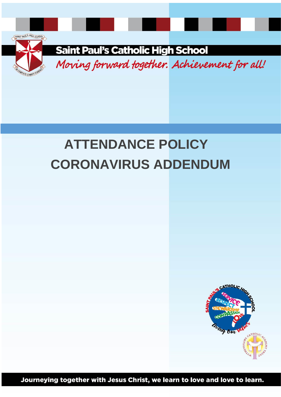



**Saint Paul's Catholic High School** 

Moving forward together. Achievement for all!

# **ATTENDANCE POLICY CORONAVIRUS ADDENDUM**



Journeying together with Jesus Christ, we learn to love and love to learn.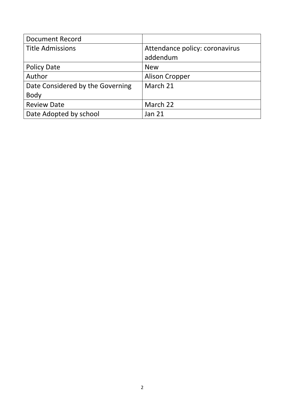| <b>Document Record</b>           |                                |
|----------------------------------|--------------------------------|
| <b>Title Admissions</b>          | Attendance policy: coronavirus |
|                                  | addendum                       |
| <b>Policy Date</b>               | <b>New</b>                     |
| Author                           | <b>Alison Cropper</b>          |
| Date Considered by the Governing | March 21                       |
| <b>Body</b>                      |                                |
| <b>Review Date</b>               | March 22                       |
| Date Adopted by school           | <b>Jan 21</b>                  |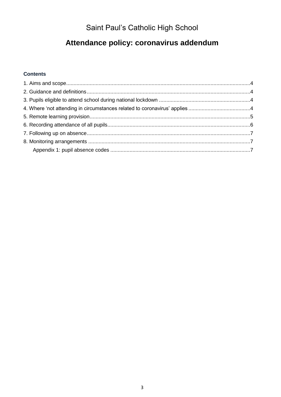# Saint Paul's Catholic High School

# Attendance policy: coronavirus addendum

## **Contents**

<span id="page-2-0"></span>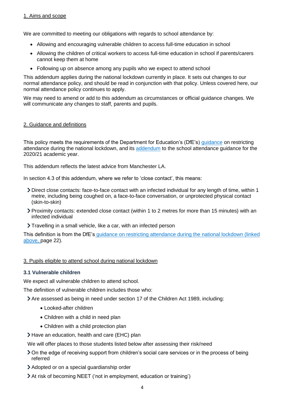We are committed to meeting our obligations with regards to school attendance by:

- Allowing and encouraging vulnerable children to access full-time education in school
- Allowing the children of critical workers to access full-time education in school if parents/carers cannot keep them at home
- Following up on absence among any pupils who we expect to attend school

This addendum applies during the national lockdown currently in place. It sets out changes to our normal attendance policy, and should be read in conjunction with that policy. Unless covered here, our normal attendance policy continues to apply.

We may need to amend or add to this addendum as circumstances or official guidance changes. We will communicate any changes to staff, parents and pupils.

#### <span id="page-3-0"></span>2. Guidance and definitions

This policy meets the requirements of the Department for Education's (DfE's) [guidance](https://www.gov.uk/government/publications/actions-for-schools-during-the-coronavirus-outbreak) on restricting attendance during the national lockdown, and its [addendum](https://www.gov.uk/government/publications/school-attendance) to the school attendance guidance for the 2020/21 academic year.

This addendum reflects the latest advice from Manchester LA.

In section 4.3 of this addendum, where we refer to 'close contact', this means:

- Direct close contacts: face-to-face contact with an infected individual for any length of time, within 1 metre, including being coughed on, a face-to-face conversation, or unprotected physical contact (skin-to-skin)
- Proximity contacts: extended close contact (within 1 to 2 metres for more than 15 minutes) with an infected individual
- Travelling in a small vehicle, like a car, with an infected person

This definition is from the DfE's guidance on restricting attendance during the national lockdown (linked above, page 22).

#### <span id="page-3-1"></span>3. Pupils eligible to attend school during national lockdown

#### **3.1 Vulnerable children**

We expect all vulnerable children to attend school.

The definition of vulnerable children includes those who:

Are assessed as being in need under section 17 of the Children Act 1989, including:

- Looked-after children
- Children with a child in need plan
- Children with a child protection plan
- Have an education, health and care (EHC) plan

We will offer places to those students listed below after assessing their risk/need

- On the edge of receiving support from children's social care services or in the process of being referred
- Adopted or on a special guardianship order
- At risk of becoming NEET ('not in employment, education or training')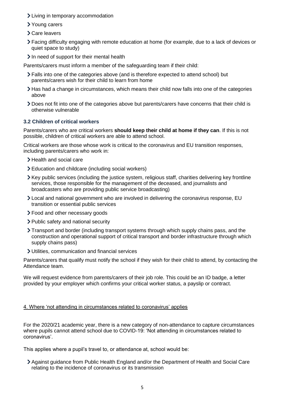- Living in temporary accommodation
- Young carers
- Care leavers
- Facing difficulty engaging with remote education at home (for example, due to a lack of devices or quiet space to study)
- In need of support for their mental health

Parents/carers must inform a member of the safeguarding team if their child:

- Falls into one of the categories above (and is therefore expected to attend school) but parents/carers wish for their child to learn from home
- $\geq$  Has had a change in circumstances, which means their child now falls into one of the categories above
- Does not fit into one of the categories above but parents/carers have concerns that their child is otherwise vulnerable

## **3.2 Children of critical workers**

Parents/carers who are critical workers **should keep their child at home if they can**. If this is not possible, children of critical workers are able to attend school.

Critical workers are those whose work is critical to the coronavirus and EU transition responses, including parents/carers who work in:

- > Health and social care
- Education and childcare (including social workers)
- Key public services (including the justice system, religious staff, charities delivering key frontline services, those responsible for the management of the deceased, and journalists and broadcasters who are providing public service broadcasting)
- Local and national government who are involved in delivering the coronavirus response, EU transition or essential public services
- Food and other necessary goods
- > Public safety and national security
- Transport and border (including transport systems through which supply chains pass, and the construction and operational support of critical transport and border infrastructure through which supply chains pass)
- Utilities, communication and financial services

Parents/carers that qualify must notify the school if they wish for their child to attend, by contacting the Attendance team.

We will request evidence from parents/carers of their job role. This could be an ID badge, a letter provided by your employer which confirms your critical worker status, a payslip or contract.

#### <span id="page-4-0"></span>4. Where 'not attending in circumstances related to coronavirus' applies

For the 2020/21 academic year, there is a new category of non-attendance to capture circumstances where pupils cannot attend school due to COVID-19: 'Not attending in circumstances related to coronavirus'.

This applies where a pupil's travel to, or attendance at, school would be:

Against guidance from Public Health England and/or the Department of Health and Social Care relating to the incidence of coronavirus or its transmission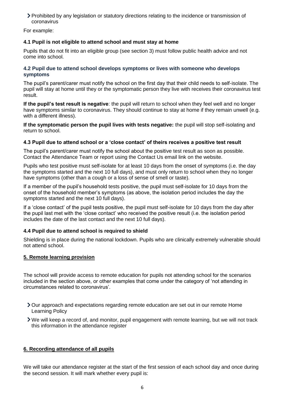Prohibited by any legislation or statutory directions relating to the incidence or transmission of coronavirus

For example:

#### **4.1 Pupil is not eligible to attend school and must stay at home**

Pupils that do not fit into an eligible group (see section 3) must follow public health advice and not come into school.

#### **4.2 Pupil due to attend school develops symptoms or lives with someone who develops symptoms**

The pupil's parent/carer must notify the school on the first day that their child needs to self-isolate. The pupil will stay at home until they or the symptomatic person they live with receives their coronavirus test result.

**If the pupil's test result is negative**: the pupil will return to school when they feel well and no longer have symptoms similar to coronavirus. They should continue to stay at home if they remain unwell (e.g. with a different illness).

**If the symptomatic person the pupil lives with tests negative:** the pupil will stop self-isolating and return to school.

#### **4.3 Pupil due to attend school or a 'close contact' of theirs receives a positive test result**

The pupil's parent/carer must notify the school about the positive test result as soon as possible. Contact the Attendance Team or report using the Contact Us email link on the website.

Pupils who test positive must self-isolate for at least 10 days from the onset of symptoms (i.e. the day the symptoms started and the next 10 full days), and must only return to school when they no longer have symptoms (other than a cough or a loss of sense of smell or taste).

If a member of the pupil's household tests positive, the pupil must self-isolate for 10 days from the onset of the household member's symptoms (as above, the isolation period includes the day the symptoms started and the next 10 full days).

If a 'close contact' of the pupil tests positive, the pupil must self-isolate for 10 days from the day after the pupil last met with the 'close contact' who received the positive result (i.e. the isolation period includes the date of the last contact and the next 10 full days).

#### **4.4 Pupil due to attend school is required to shield**

Shielding is in place during the national lockdown. Pupils who are clinically extremely vulnerable should not attend school.

#### <span id="page-5-0"></span>**5. Remote learning provision**

The school will provide access to remote education for pupils not attending school for the scenarios included in the section above, or other examples that come under the category of 'not attending in circumstances related to coronavirus'.

- Our approach and expectations regarding remote education are set out in our remote Home Learning Policy
- We will keep a record of, and monitor, pupil engagement with remote learning, but we will not track this information in the attendance register

#### <span id="page-5-1"></span>**6. Recording attendance of all pupils**

We will take our attendance register at the start of the first session of each school day and once during the second session. It will mark whether every pupil is: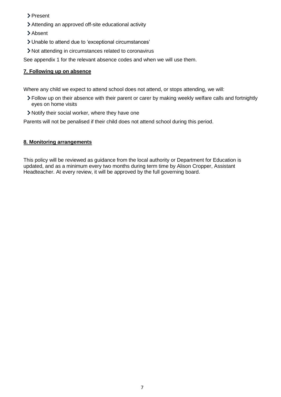- > Present
- Attending an approved off-site educational activity
- > Absent
- Unable to attend due to 'exceptional circumstances'
- Not attending in circumstances related to coronavirus

See appendix 1 for the relevant absence codes and when we will use them.

## <span id="page-6-0"></span>**7. Following up on absence**

Where any child we expect to attend school does not attend, or stops attending, we will:

- Follow up on their absence with their parent or carer by making weekly welfare calls and fortnightly eyes on home visits
- Notify their social worker, where they have one

Parents will not be penalised if their child does not attend school during this period.

#### <span id="page-6-1"></span>**8. Monitoring arrangements**

<span id="page-6-2"></span>This policy will be reviewed as guidance from the local authority or Department for Education is updated, and as a minimum every two months during term time by Alison Cropper, Assistant Headteacher. At every review, it will be approved by the full governing board.